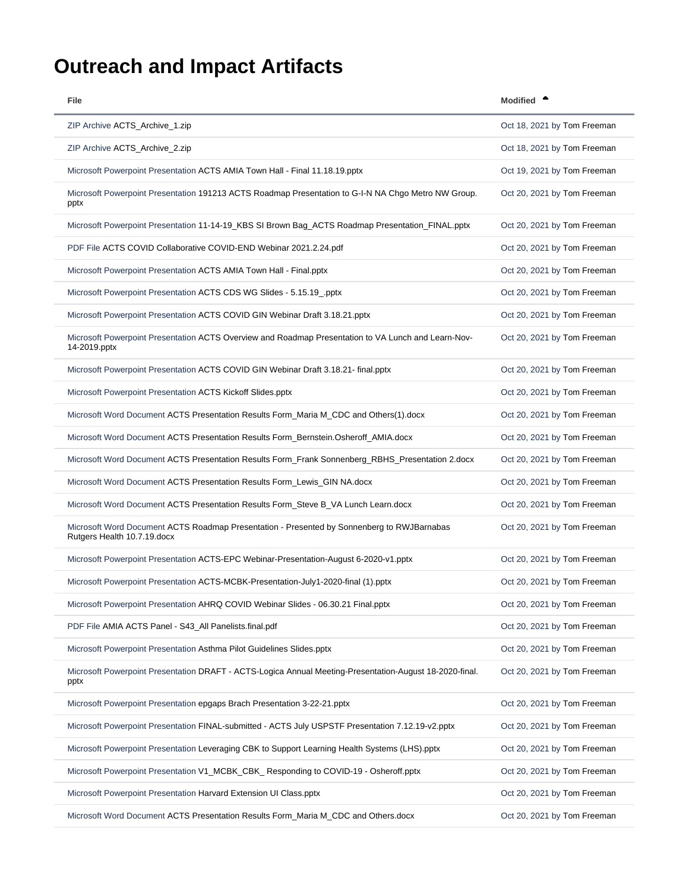## <span id="page-0-0"></span>**Outreach and Impact Artifacts**

| File                                                                                                                      | <b>Modified</b>             |
|---------------------------------------------------------------------------------------------------------------------------|-----------------------------|
| ZIP Archive ACTS_Archive_1.zip                                                                                            | Oct 18, 2021 by Tom Freeman |
| ZIP Archive ACTS_Archive_2.zip                                                                                            | Oct 18, 2021 by Tom Freeman |
| Microsoft Powerpoint Presentation ACTS AMIA Town Hall - Final 11.18.19.pptx                                               | Oct 19, 2021 by Tom Freeman |
| Microsoft Powerpoint Presentation 191213 ACTS Roadmap Presentation to G-I-N NA Chgo Metro NW Group.<br>pptx               | Oct 20, 2021 by Tom Freeman |
| Microsoft Powerpoint Presentation 11-14-19_KBS SI Brown Bag_ACTS Roadmap Presentation_FINAL.pptx                          | Oct 20, 2021 by Tom Freeman |
| PDF File ACTS COVID Collaborative COVID-END Webinar 2021.2.24.pdf                                                         | Oct 20, 2021 by Tom Freeman |
| Microsoft Powerpoint Presentation ACTS AMIA Town Hall - Final.pptx                                                        | Oct 20, 2021 by Tom Freeman |
| Microsoft Powerpoint Presentation ACTS CDS WG Slides - 5.15.19 pptx                                                       | Oct 20, 2021 by Tom Freeman |
| Microsoft Powerpoint Presentation ACTS COVID GIN Webinar Draft 3.18.21.pptx                                               | Oct 20, 2021 by Tom Freeman |
| Microsoft Powerpoint Presentation ACTS Overview and Roadmap Presentation to VA Lunch and Learn-Nov-<br>14-2019.pptx       | Oct 20, 2021 by Tom Freeman |
| Microsoft Powerpoint Presentation ACTS COVID GIN Webinar Draft 3.18.21- final.pptx                                        | Oct 20, 2021 by Tom Freeman |
| Microsoft Powerpoint Presentation ACTS Kickoff Slides.pptx                                                                | Oct 20, 2021 by Tom Freeman |
| Microsoft Word Document ACTS Presentation Results Form_Maria M_CDC and Others(1).docx                                     | Oct 20, 2021 by Tom Freeman |
| Microsoft Word Document ACTS Presentation Results Form_Bernstein.Osheroff_AMIA.docx                                       | Oct 20, 2021 by Tom Freeman |
| Microsoft Word Document ACTS Presentation Results Form_Frank Sonnenberg_RBHS_Presentation 2.docx                          | Oct 20, 2021 by Tom Freeman |
| Microsoft Word Document ACTS Presentation Results Form_Lewis_GIN NA.docx                                                  | Oct 20, 2021 by Tom Freeman |
| Microsoft Word Document ACTS Presentation Results Form_Steve B_VA Lunch Learn.docx                                        | Oct 20, 2021 by Tom Freeman |
| Microsoft Word Document ACTS Roadmap Presentation - Presented by Sonnenberg to RWJBarnabas<br>Rutgers Health 10.7.19.docx | Oct 20, 2021 by Tom Freeman |
| Microsoft Powerpoint Presentation ACTS-EPC Webinar-Presentation-August 6-2020-v1.pptx                                     | Oct 20, 2021 by Tom Freeman |
| Microsoft Powerpoint Presentation ACTS-MCBK-Presentation-July1-2020-final (1).pptx                                        | Oct 20, 2021 by Tom Freeman |
| Microsoft Powerpoint Presentation AHRQ COVID Webinar Slides - 06.30.21 Final.pptx                                         | Oct 20, 2021 by Tom Freeman |
| PDF File AMIA ACTS Panel - S43_All Panelists.final.pdf                                                                    | Oct 20, 2021 by Tom Freeman |
| Microsoft Powerpoint Presentation Asthma Pilot Guidelines Slides.pptx                                                     | Oct 20, 2021 by Tom Freeman |
| Microsoft Powerpoint Presentation DRAFT - ACTS-Logica Annual Meeting-Presentation-August 18-2020-final.<br>pptx           | Oct 20, 2021 by Tom Freeman |
| Microsoft Powerpoint Presentation epgaps Brach Presentation 3-22-21.pptx                                                  | Oct 20, 2021 by Tom Freeman |
| Microsoft Powerpoint Presentation FINAL-submitted - ACTS July USPSTF Presentation 7.12.19-v2.pptx                         | Oct 20, 2021 by Tom Freeman |
| Microsoft Powerpoint Presentation Leveraging CBK to Support Learning Health Systems (LHS).pptx                            | Oct 20, 2021 by Tom Freeman |
| Microsoft Powerpoint Presentation V1_MCBK_CBK_ Responding to COVID-19 - Osheroff.pptx                                     | Oct 20, 2021 by Tom Freeman |
| Microsoft Powerpoint Presentation Harvard Extension UI Class.pptx                                                         | Oct 20, 2021 by Tom Freeman |
| Microsoft Word Document ACTS Presentation Results Form_Maria M_CDC and Others.docx                                        | Oct 20, 2021 by Tom Freeman |